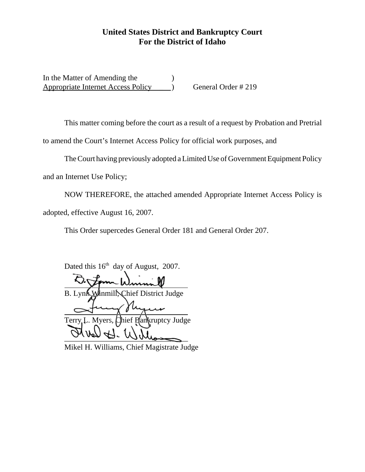## **United States District and Bankruptcy Court For the District of Idaho**

In the Matter of Amending the Appropriate Internet Access Policy (a) General Order # 219

This matter coming before the court as a result of a request by Probation and Pretrial to amend the Court's Internet Access Policy for official work purposes, and

The Court having previously adopted a Limited Use of Government Equipment Policy

and an Internet Use Policy;

NOW THEREFORE, the attached amended Appropriate Internet Access Policy is adopted, effective August 16, 2007.

This Order supercedes General Order 181 and General Order 207.

Dated this  $16^{th}$  day of August, 2007.

l B. Lynx Winmill, Chief District Judge  $\overline{a}$ Terry L. Myers, Chief Bankruptcy Judge  $\frac{1}{\sqrt{1020}}$   $\frac{1}{\sqrt{10}}$   $\frac{1}{\sqrt{10}}$ 

Mikel H. Williams, Chief Magistrate Judge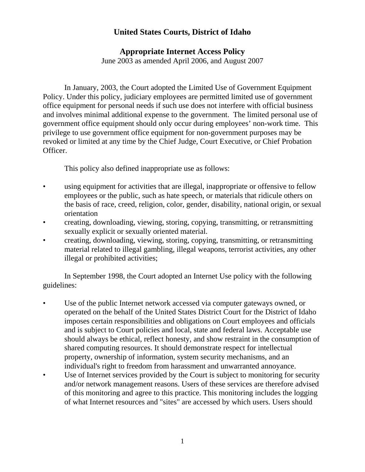## **United States Courts, District of Idaho**

## **Appropriate Internet Access Policy**

June 2003 as amended April 2006, and August 2007

In January, 2003, the Court adopted the Limited Use of Government Equipment Policy. Under this policy, judiciary employees are permitted limited use of government office equipment for personal needs if such use does not interfere with official business and involves minimal additional expense to the government. The limited personal use of government office equipment should only occur during employees' non-work time. This privilege to use government office equipment for non-government purposes may be revoked or limited at any time by the Chief Judge, Court Executive, or Chief Probation Officer.

This policy also defined inappropriate use as follows:

- using equipment for activities that are illegal, inappropriate or offensive to fellow employees or the public, such as hate speech, or materials that ridicule others on the basis of race, creed, religion, color, gender, disability, national origin, or sexual orientation
- creating, downloading, viewing, storing, copying, transmitting, or retransmitting sexually explicit or sexually oriented material.
- creating, downloading, viewing, storing, copying, transmitting, or retransmitting material related to illegal gambling, illegal weapons, terrorist activities, any other illegal or prohibited activities;

In September 1998, the Court adopted an Internet Use policy with the following guidelines:

- Use of the public Internet network accessed via computer gateways owned, or operated on the behalf of the United States District Court for the District of Idaho imposes certain responsibilities and obligations on Court employees and officials and is subject to Court policies and local, state and federal laws. Acceptable use should always be ethical, reflect honesty, and show restraint in the consumption of shared computing resources. It should demonstrate respect for intellectual property, ownership of information, system security mechanisms, and an individual's right to freedom from harassment and unwarranted annoyance.
- Use of Internet services provided by the Court is subject to monitoring for security and/or network management reasons. Users of these services are therefore advised of this monitoring and agree to this practice. This monitoring includes the logging of what Internet resources and "sites" are accessed by which users. Users should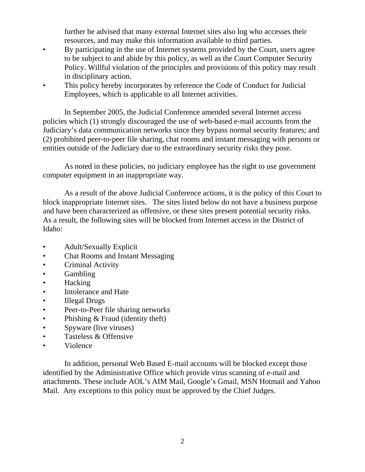further be advised that many external Internet sites also log who accesses their resources, and may make this information available to third parties.

- By participating in the use of Internet systems provided by the Court, users agree to be subject to and abide by this policy, as well as the Court Computer Security Policy. Willful violation of the principles and provisions of this policy may result in disciplinary action.
- This policy hereby incorporates by reference the Code of Conduct for Judicial Employees, which is applicable to all Internet activities.

In September 2005, the Judicial Conference amended several Internet access policies which (1) strongly discouraged the use of web-based e-mail accounts from the Judiciary's data communication networks since they bypass normal security features; and (2) prohibited peer-to-peer file sharing, chat rooms and instant messaging with persons or entities outside of the Judiciary due to the extraordinary security risks they pose.

As noted in these policies, no judiciary employee has the right to use government computer equipment in an inappropriate way.

As a result of the above Judicial Conference actions, it is the policy of this Court to block inappropriate Internet sites. The sites listed below do not have a business purpose and have been characterized as offensive, or these sites present potential security risks. As a result, the following sites will be blocked from Internet access in the District of Idaho:

- Adult/Sexually Explicit
- Chat Rooms and Instant Messaging
- Criminal Activity
- Gambling
- Hacking
- Intolerance and Hate
- Illegal Drugs
- Peer-to-Peer file sharing networks
- Phishing & Fraud (identity theft)
- Spyware (live viruses)
- Tasteless & Offensive
- Violence

In addition, personal Web Based E-mail accounts will be blocked except those identified by the Administrative Office which provide virus scanning of e-mail and attachments. These include AOL's AIM Mail, Google's Gmail, MSN Hotmail and Yahoo Mail. Any exceptions to this policy must be approved by the Chief Judges.